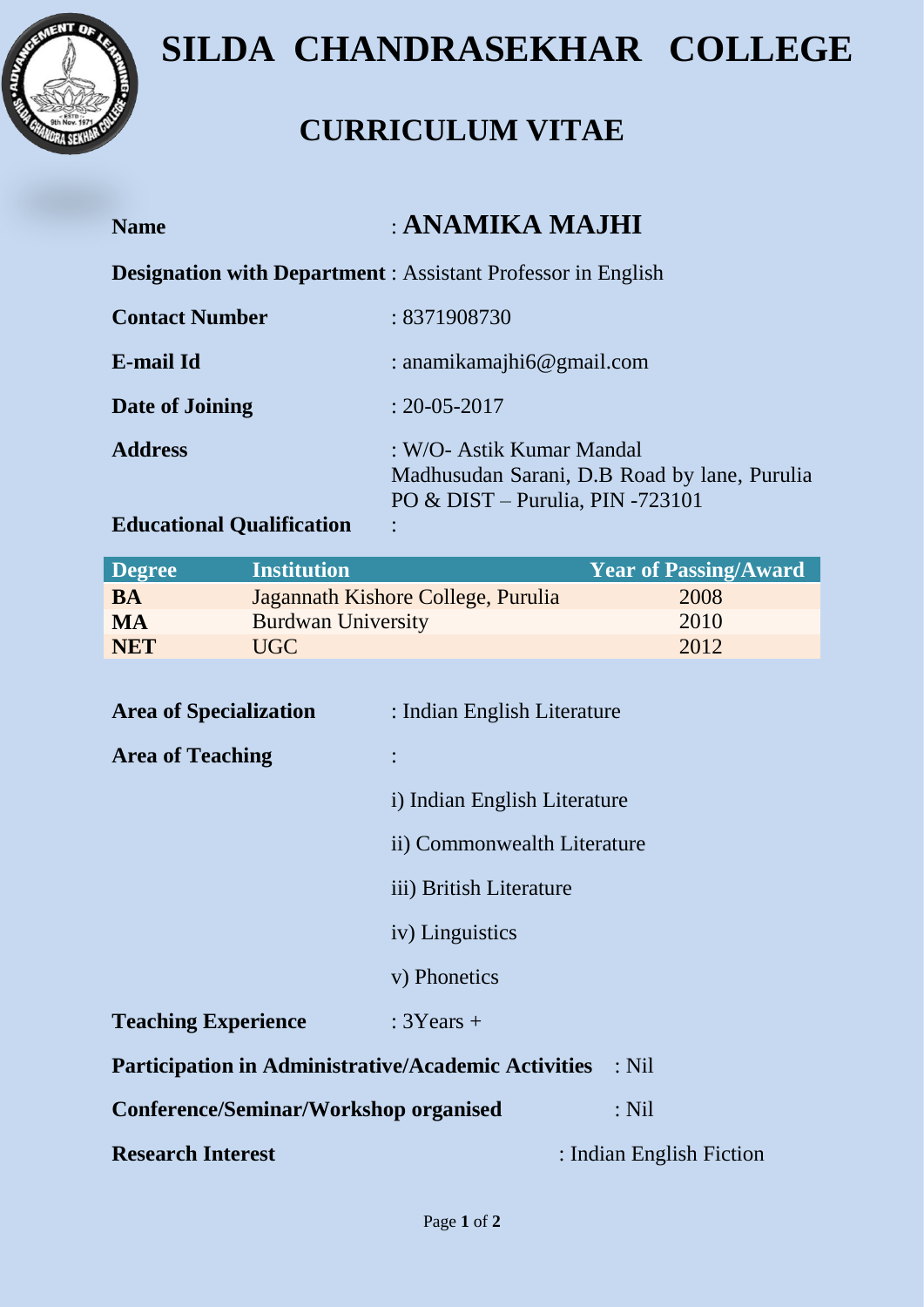

## **SILDA CHANDRASEKHAR COLLEGE**

### **CURRICULUM VITAE**

| <b>Name</b>           | : ANAMIKA MAJHI                                                                                                 |
|-----------------------|-----------------------------------------------------------------------------------------------------------------|
|                       | <b>Designation with Department:</b> Assistant Professor in English                                              |
| <b>Contact Number</b> | : 8371908730                                                                                                    |
| <b>E-mail Id</b>      | : anamikamajhi $6@$ gmail.com                                                                                   |
| Date of Joining       | $: 20 - 05 - 2017$                                                                                              |
| <b>Address</b>        | : W/O- Astik Kumar Mandal<br>Madhusudan Sarani, D.B Road by lane, Purulia<br>PO & DIST – Purulia, PIN $-723101$ |

### **Educational Qualification** :

| <b>Degree</b> | <b>Institution</b>                 | <b>Year of Passing/Award</b> |
|---------------|------------------------------------|------------------------------|
| BA            | Jagannath Kishore College, Purulia | 2008                         |
| MA            | <b>Burdwan University</b>          | 2010                         |
| <b>NET</b>    | UGC                                | 2012                         |

| <b>Area of Specialization</b>                                         | : Indian English Literature  |                          |  |  |
|-----------------------------------------------------------------------|------------------------------|--------------------------|--|--|
| <b>Area of Teaching</b>                                               |                              |                          |  |  |
|                                                                       | i) Indian English Literature |                          |  |  |
|                                                                       | ii) Commonwealth Literature  |                          |  |  |
|                                                                       | iii) British Literature      |                          |  |  |
|                                                                       | iv) Linguistics              |                          |  |  |
|                                                                       | v) Phonetics                 |                          |  |  |
| <b>Teaching Experience</b>                                            | $: 3Years +$                 |                          |  |  |
| <b>Participation in Administrative/Academic Activities</b><br>$:$ Nil |                              |                          |  |  |
| Conference/Seminar/Workshop organised                                 |                              | $:$ Nil                  |  |  |
| <b>Research Interest</b>                                              |                              | : Indian English Fiction |  |  |